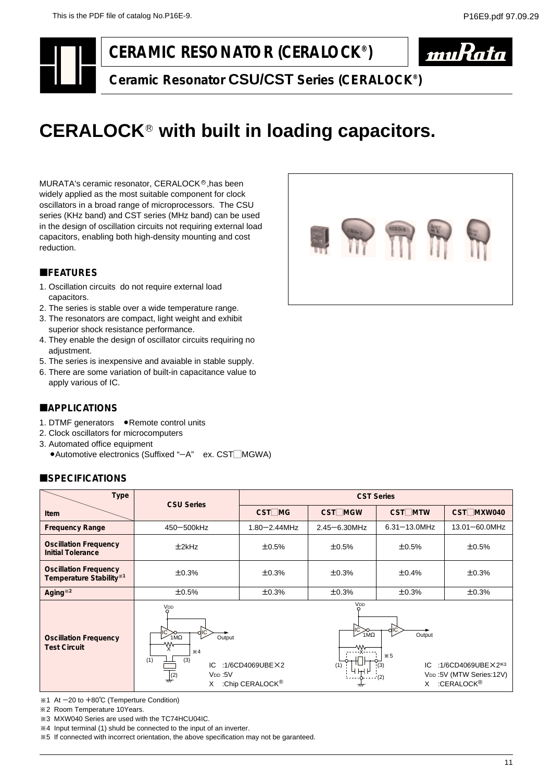# **CERAMIC RESONATOR (CERALOCK®)**



**Ceramic Resonator CSU/CST Series (CERALOCK®)**

# CERALOCK<sup>®</sup> with built in loading capacitors.

MURATA's ceramic resonator, CERALOCK®,has been widely applied as the most suitable component for clock oscillators in a broad range of microprocessors. The CSU series (KHz band) and CST series (MHz band) can be used in the design of oscillation circuits not requiring external load capacitors, enabling both high-density mounting and cost reduction.

#### **EFEATURES**

- 1. Oscillation circuits do not require external load capacitors.
- 2. The series is stable over a wide temperature range.
- 3. The resonators are compact, light weight and exhibit superior shock resistance performance.
- 4. They enable the design of oscillator circuits requiring no adjustment.
- 5. The series is inexpensive and avaiable in stable supply.
- 6. There are some variation of built-in capacitance value to apply various of IC.

# **LAPPLICATIONS**

- 1. DTMF generators . Remote control units
- 2. Clock oscillators for microcomputers
- 3. Automated office equipment
	- $\bullet$  Automotive electronics (Suffixed "-A" ex. CST $\Box$ MGWA)

# **ESPECIFICATIONS**

| <b>Type</b>                                                                                 | <b>CSU Series</b>                                                                                                                                                                | <b>CST Series</b>                                                                                                                                                                                            |                    |                   |                       |  |  |  |
|---------------------------------------------------------------------------------------------|----------------------------------------------------------------------------------------------------------------------------------------------------------------------------------|--------------------------------------------------------------------------------------------------------------------------------------------------------------------------------------------------------------|--------------------|-------------------|-----------------------|--|--|--|
| <b>Item</b>                                                                                 |                                                                                                                                                                                  | $CST$ MG                                                                                                                                                                                                     | CST <sub>MGW</sub> | <b>CST</b> MTW    | CST <sub>MXW040</sub> |  |  |  |
| <b>Frequency Range</b>                                                                      | 450-500kHz                                                                                                                                                                       | $1.80 - 2.44$ MHz                                                                                                                                                                                            | $2.45 - 6.30$ MHz  | $6.31 - 13.0$ MHz | 13.01-60.0MHz         |  |  |  |
| <b>Oscillation Frequency</b><br><b>Initial Tolerance</b>                                    | $±2$ k $Hz$                                                                                                                                                                      | ±0.5%                                                                                                                                                                                                        | ±0.5%<br>±0.5%     |                   | ±0.5%                 |  |  |  |
| <b>Oscillation Frequency</b><br>Temperature Stability <sup>*1</sup>                         | ±0.3%                                                                                                                                                                            | ±0.3%                                                                                                                                                                                                        | ±0.3%              | ±0.4%             | ±0.3%                 |  |  |  |
| Aging <sup>*2</sup>                                                                         | ±0.5%                                                                                                                                                                            | ±0.3%                                                                                                                                                                                                        | ±0.3%              | ±0.3%             | ±0.3%                 |  |  |  |
| <b>Oscillation Frequency</b><br><b>Test Circuit</b>                                         | VDD<br>$1\overline{M}\Omega$<br>Output<br>W<br>$\times 4$<br>(1)<br>(3)<br>:1/6CD4069UBEX2<br>IC<br>V <sub>DD</sub> :5V<br>$\frac{1}{2}$ (2)<br>:Chip CERALOCK <sup>®</sup><br>X | V <sub>DD</sub><br>C<br>$1\overline{M}\Omega$<br>Output<br>$\times 5$<br>IC<br>:1/6CD4069UBE $\times$ 2 <sup>*3</sup><br>V <sub>DD</sub> :5V (MTW Series:12V)<br>(2)<br>:CERALOCK <sup>®</sup><br>X<br>$\pi$ |                    |                   |                       |  |  |  |
| $\div 1$ At $-20$ to $+80^{\circ}$ C (Temperture Condition)<br>*2 Room Temperature 10Years. |                                                                                                                                                                                  |                                                                                                                                                                                                              |                    |                   |                       |  |  |  |

- 2 Room Temperature 10Years.
- 3 MXW040 Series are used with the TC74HCU04IC. 2
- 4 Input terminal (1) shuld be connected to the input of an inverter. 2

5 If connected with incorrect orientation, the above specification may not be garanteed. 2

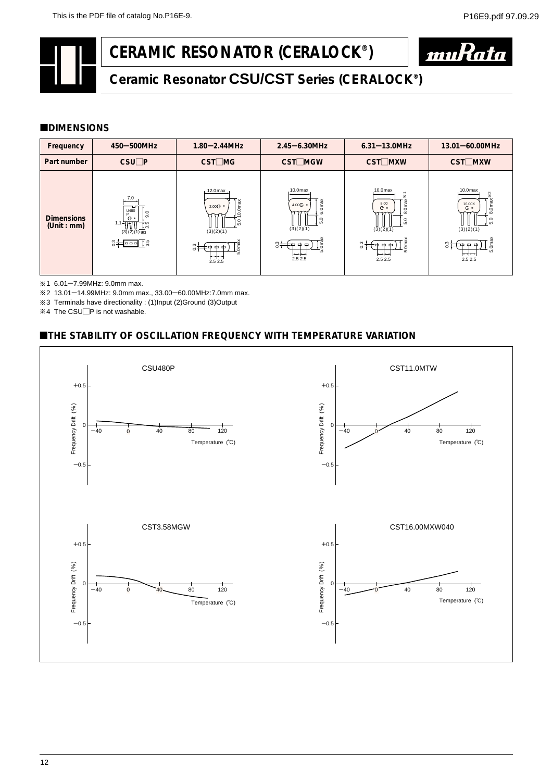# **CERAMIC RESONATOR (CERALOCK®)**



# **Ceramic Resonator CSU/CST Series (CERALOCK®)**

#### **CDIMENSIONS**

| Frequency                        | 450-500MHz                                                                                                                                               | $1.80 - 2.44$ MHz                                                                                         | $2.45 - 6.30$ MHz                                                                              | $6.31 - 13.0$ MHz                                                                                    | $13.01 - 60.00$ MHz                                                                                                                                         |
|----------------------------------|----------------------------------------------------------------------------------------------------------------------------------------------------------|-----------------------------------------------------------------------------------------------------------|------------------------------------------------------------------------------------------------|------------------------------------------------------------------------------------------------------|-------------------------------------------------------------------------------------------------------------------------------------------------------------|
| Part number                      | $CSU$ $P$                                                                                                                                                | $CST$ MG                                                                                                  | <b>CST</b> MGW                                                                                 | <b>CST□MXW</b>                                                                                       | CST□MXW                                                                                                                                                     |
| <b>Dimensions</b><br>(Unit : mm) | 7.0<br>$\frac{U}{D}$ 480<br>$\overline{9}$ .<br>$\mathbf{O}$ *<br>$1.1 - 111$<br>$\frac{15}{5}$<br>$(3)(2)(1)$ *3<br>$3 + \boxed{ \boxed{ \boxed{ \ ]}}$ | $12.0$ max<br>$10.0$ max<br>2.00⊙ +<br>$\circ$<br>ທ່<br>(3)(2)(1)<br>st∋<br>ĮĔ<br>⊕<br>$\omega$<br>2.52.5 | $10.0$ max<br>$6.0$ max<br>4.00 <sup>o</sup><br>5.0<br>(3)(2)(1)<br>ຶ≑≑<br>ļĔ<br>īιó<br>2.52.5 | $10.0$ max<br>×<br>8.0 ma<br>8.00<br>$\mathbf{O}$ *<br>5.0<br>(3)(2)(1)<br>Oma<br>ຶ∺<br>LO<br>2.52.5 | 10.0 <sub>max</sub><br>$\frac{1}{2}$<br>8.0 max<br>16.00X<br><b>Q</b> +<br>5.0<br>(3)(2)(1)<br>0 <sub>ma</sub><br>ິີ≑<br>m<br>LO<br>$\leftarrow$<br>2.5 2.5 |

1 6.01-7.99MHz: 9.0mm max.

2 13.01-14.99MHz: 9.0mm max., 33.00-60.00MHz:7.0mm max.

3 Terminals have directionality : (1)Input (2)Ground (3)Output 2

 $4$  The CSU $\Box$ P is not washable.

### **ETHE STABILITY OF OSCILLATION FREQUENCY WITH TEMPERATURE VARIATION**

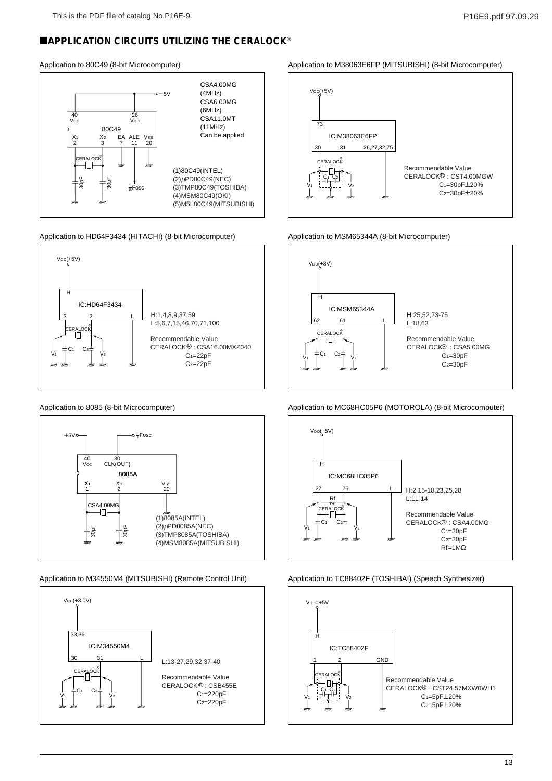# **EAPPLICATION CIRCUITS UTILIZING THE CERALOCK®**

#### Application to 80C49 (8-bit Microcomputer)



Application to HD64F3434 (HITACHI) (8-bit Microcomputer)



Application to 8085 (8-bit Microcomputer)



Application to M34550M4 (MITSUBISHI) (Remote Control Unit)



Application to M38063E6FP (MITSUBISHI) (8-bit Microcomputer)



#### Application to MSM65344A (8-bit Microcomputer)



Application to MC68HC05P6 (MOTOROLA) (8-bit Microcomputer)



#### Application to TC88402F (TOSHIBAI) (Speech Synthesizer)

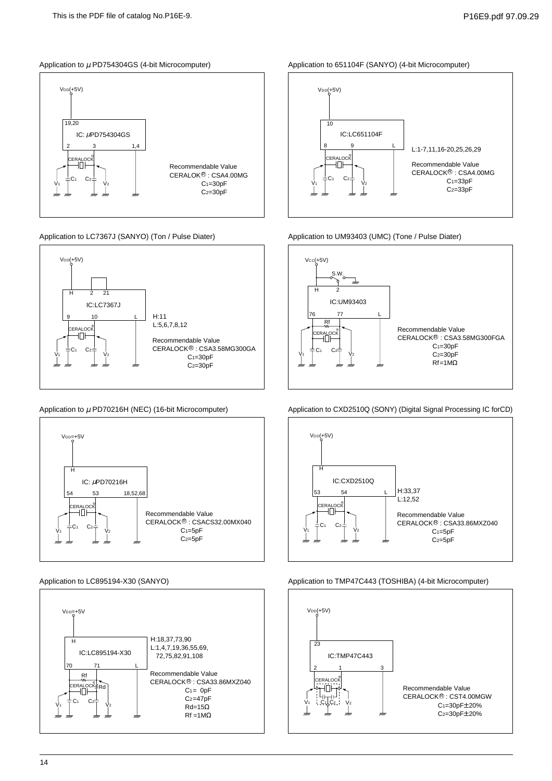#### Application to  $\mu$  PD754304GS (4-bit Microcomputer)



#### Application to LC7367J (SANYO) (Ton / Pulse Diater)



#### Application to  $\mu$  PD70216H (NEC) (16-bit Microcomputer)



#### Application to LC895194-X30 (SANYO)



Application to 651104F (SANYO) (4-bit Microcomputer)



#### Application to UM93403 (UMC) (Tone / Pulse Diater)



Application to CXD2510Q (SONY) (Digital Signal Processing IC forCD)



#### Application to TMP47C443 (TOSHIBA) (4-bit Microcomputer)